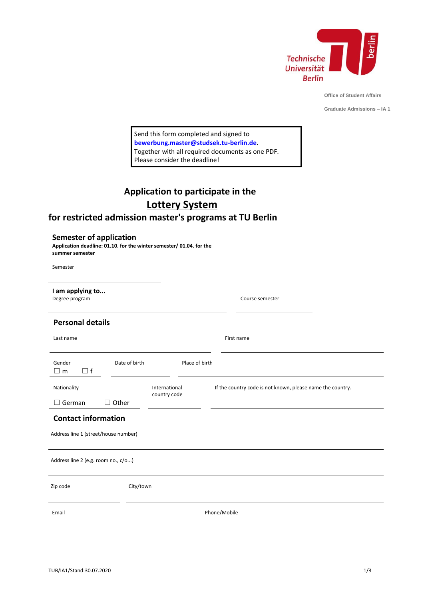

**Office of Student Affairs**

**Graduate Admissions – IA 1**

Send this form completed and signed to **[bewerbung.master@studsek.tu-berlin.de.](mailto:bewerbung.master@studsek.tu-berlin.de)** Together with all required documents as one PDF. Please consider the deadline!

# **Application to participate in the Lottery System**

# **for restricted admission master's programs at TU Berlin**

| <b>Semester of application</b> |  |  |  |
|--------------------------------|--|--|--|
|--------------------------------|--|--|--|

**Application deadline: 01.10. for the winter semester/ 01.04. for the summer semester**

Semester

| I am applying to<br>Degree program                                 |                                 | Course semester                                            |  |  |
|--------------------------------------------------------------------|---------------------------------|------------------------------------------------------------|--|--|
| <b>Personal details</b>                                            |                                 |                                                            |  |  |
| Last name                                                          |                                 | First name                                                 |  |  |
| Gender<br>$\Box$ f<br>$\square$ m                                  | Date of birth<br>Place of birth |                                                            |  |  |
| Nationality                                                        | International<br>country code   | If the country code is not known, please name the country. |  |  |
| $\Box$ Other<br>German                                             |                                 |                                                            |  |  |
| <b>Contact information</b><br>Address line 1 (street/house number) |                                 |                                                            |  |  |
| Address line 2 (e.g. room no., c/o)                                |                                 |                                                            |  |  |
| Zip code                                                           | City/town                       |                                                            |  |  |
| Email                                                              |                                 | Phone/Mobile                                               |  |  |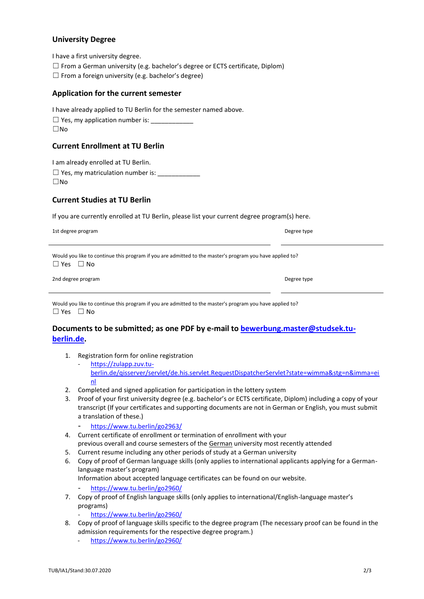# **University Degree**

I have a first university degree.

- ☐ From a German university (e.g. bachelor's degree or ECTS certificate, Diplom)
- $\Box$  From a foreign university (e.g. bachelor's degree)

#### **Application for the current semester**

| I have already applied to TU Berlin for the semester named above. |  |
|-------------------------------------------------------------------|--|
|-------------------------------------------------------------------|--|

 $\Box$  Yes, my application number is:  $\rule{1em}{0.15mm}$ ☐No

#### **Current Enrollment at TU Berlin**

I am already enrolled at TU Berlin.

 $\Box$  Yes, my matriculation number is: ☐No

### **Current Studies at TU Berlin**

If you are currently enrolled at TU Berlin, please list your current degree program(s) here.

1st degree program Degree type

Would you like to continue this program if you are admitted to the master's program you have applied to? ☐ Yes ☐ No

| 2nd degree program | Degree type |
|--------------------|-------------|
|                    |             |

| Degree type |  |
|-------------|--|

Would you like to continue this program if you are admitted to the master's program you have applied to? ☐ Yes ☐ No

# **Documents to be submitted; as one PDF by e-mail to [bewerbung.master@studsek.tu](mailto:bewerbung.master@studsek.tu-berlin.de)[berlin.de.](mailto:bewerbung.master@studsek.tu-berlin.de)**

- 1. Registration form for online registration
	- https://zulapp.zuv.tuberlin.de/qisserver/servlet/de.his.servlet.RequestDispatcherServlet?state=wimma&stg=n&imma=ei nl
- 2. Completed and signed application for participation in the lottery system
- 3. Proof of your first university degree (e.g. bachelor's or ECTS certificate, Diplom) including a copy of your transcript (If your certificates and supporting documents are not in German or English, you must submit a translation of these.)
	- <https://www.tu.berlin/go2963/>
- 4. Current certificate of enrollment or termination of enrollment with your previous overall and course semesters of the German university most recently attended
- 5. Current resume including any other periods of study at a German university
- 6. Copy of proof of German language skills (only applies to international applicants applying for a Germanlanguage master's program) Information about accepted language certificates can be found on our website.
	- https://www.tu.berlin/go2960/
- 7. Copy of proof of English language skills (only applies to international/English-language master's programs)
	- <https://www.tu.berlin/go2960/>
- 8. Copy of proof of language skills specific to the degree program (The necessary proof can be found in the admission requirements for the respective degree program.)
	- <https://www.tu.berlin/go2960/>